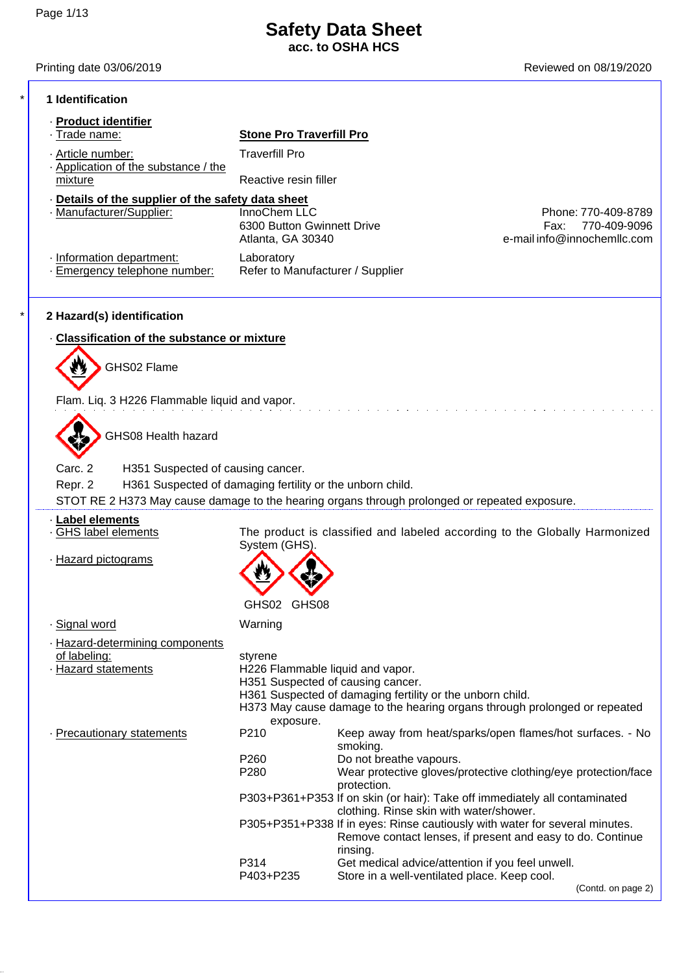\*

# **Safety Data Sheet**

**acc. to OSHA HCS**

| 1 Identification                                                                                                  |                                                                 |                                                                                                                                                                             |                                                                            |
|-------------------------------------------------------------------------------------------------------------------|-----------------------------------------------------------------|-----------------------------------------------------------------------------------------------------------------------------------------------------------------------------|----------------------------------------------------------------------------|
| · Product identifier<br>· Trade name:                                                                             | <b>Stone Pro Traverfill Pro</b>                                 |                                                                                                                                                                             |                                                                            |
| · Article number:                                                                                                 | <b>Traverfill Pro</b>                                           |                                                                                                                                                                             |                                                                            |
| Application of the substance / the<br>mixture                                                                     | Reactive resin filler                                           |                                                                                                                                                                             |                                                                            |
| Details of the supplier of the safety data sheet<br>· Manufacturer/Supplier:                                      | InnoChem LLC<br>6300 Button Gwinnett Drive<br>Atlanta, GA 30340 |                                                                                                                                                                             | Phone: 770-409-8789<br>770-409-9096<br>Fax:<br>e-mail info@innochemllc.com |
| · Information department:<br>· Emergency telephone number:                                                        | Laboratory<br>Refer to Manufacturer / Supplier                  |                                                                                                                                                                             |                                                                            |
| 2 Hazard(s) identification                                                                                        |                                                                 |                                                                                                                                                                             |                                                                            |
| · Classification of the substance or mixture                                                                      |                                                                 |                                                                                                                                                                             |                                                                            |
| GHS02 Flame                                                                                                       |                                                                 |                                                                                                                                                                             |                                                                            |
| Flam. Liq. 3 H226 Flammable liquid and vapor.                                                                     |                                                                 |                                                                                                                                                                             |                                                                            |
| GHS08 Health hazard                                                                                               |                                                                 |                                                                                                                                                                             |                                                                            |
| Carc. 2<br>H351 Suspected of causing cancer.                                                                      |                                                                 |                                                                                                                                                                             |                                                                            |
| Repr. 2<br>H361 Suspected of damaging fertility or the unborn child.                                              |                                                                 |                                                                                                                                                                             |                                                                            |
| STOT RE 2 H373 May cause damage to the hearing organs through prolonged or repeated exposure.<br>· Label elements |                                                                 |                                                                                                                                                                             |                                                                            |
| GHS label elements                                                                                                | System (GHS).                                                   | The product is classified and labeled according to the Globally Harmonized                                                                                                  |                                                                            |
| - Hazard pictograms                                                                                               |                                                                 |                                                                                                                                                                             |                                                                            |
|                                                                                                                   | GHS02 GHS08                                                     |                                                                                                                                                                             |                                                                            |
| <u>. Signal word</u>                                                                                              | Warning                                                         |                                                                                                                                                                             |                                                                            |
| · Hazard-determining components<br>of labeling:<br>· Hazard statements                                            | styrene<br>H226 Flammable liquid and vapor.                     | H351 Suspected of causing cancer.<br>H361 Suspected of damaging fertility or the unborn child.<br>H373 May cause damage to the hearing organs through prolonged or repeated |                                                                            |
| · Precautionary statements                                                                                        | exposure.<br>P210                                               | Keep away from heat/sparks/open flames/hot surfaces. - No<br>smoking.                                                                                                       |                                                                            |
|                                                                                                                   | P260<br>P280                                                    | Do not breathe vapours.<br>Wear protective gloves/protective clothing/eye protection/face<br>protection.                                                                    |                                                                            |
|                                                                                                                   |                                                                 | P303+P361+P353 If on skin (or hair): Take off immediately all contaminated<br>clothing. Rinse skin with water/shower.                                                       |                                                                            |
|                                                                                                                   |                                                                 | P305+P351+P338 If in eyes: Rinse cautiously with water for several minutes.<br>Remove contact lenses, if present and easy to do. Continue<br>rinsing.                       |                                                                            |
|                                                                                                                   | P314                                                            | Get medical advice/attention if you feel unwell.                                                                                                                            |                                                                            |
|                                                                                                                   | P403+P235                                                       | Store in a well-ventilated place. Keep cool.                                                                                                                                | (Contd. on page 2)                                                         |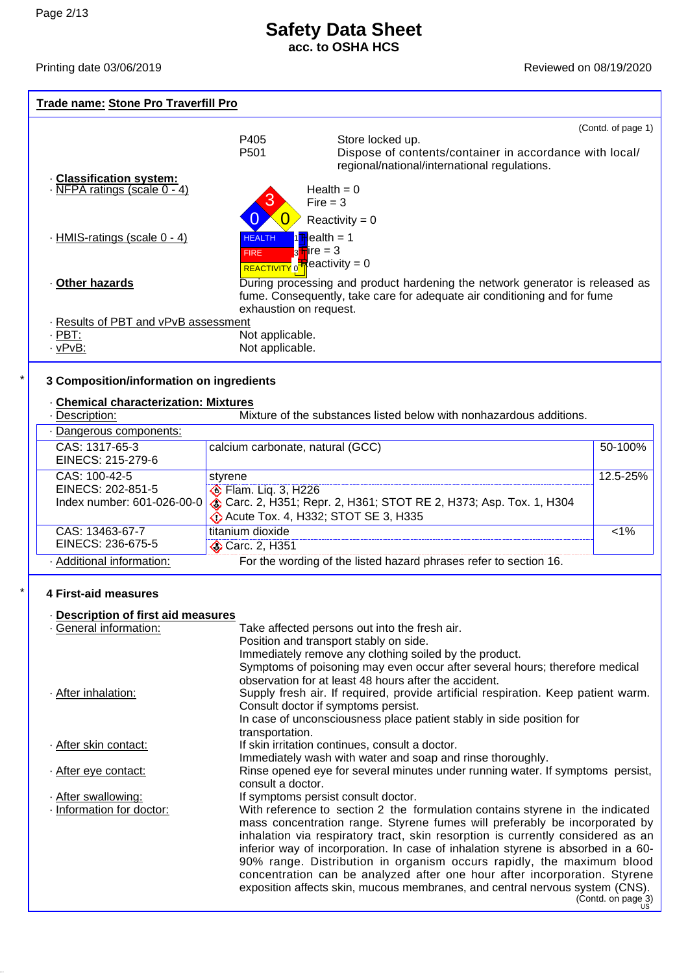\*

# **Safety Data Sheet**

**acc. to OSHA HCS**

| Trade name: Stone Pro Traverfill Pro       |                                  |                                                                                                                                                                                                                                                                                                                                                                                                                                                                                          |                      |
|--------------------------------------------|----------------------------------|------------------------------------------------------------------------------------------------------------------------------------------------------------------------------------------------------------------------------------------------------------------------------------------------------------------------------------------------------------------------------------------------------------------------------------------------------------------------------------------|----------------------|
|                                            |                                  |                                                                                                                                                                                                                                                                                                                                                                                                                                                                                          | (Contd. of page 1)   |
|                                            | P405<br>P501                     | Store locked up.<br>Dispose of contents/container in accordance with local/<br>regional/national/international regulations.                                                                                                                                                                                                                                                                                                                                                              |                      |
| Classification system:                     |                                  |                                                                                                                                                                                                                                                                                                                                                                                                                                                                                          |                      |
| · NFPA ratings (scale 0 - 4)               |                                  | Health = $0$<br>$Fire = 3$                                                                                                                                                                                                                                                                                                                                                                                                                                                               |                      |
|                                            |                                  | Reactivity = $0$                                                                                                                                                                                                                                                                                                                                                                                                                                                                         |                      |
| - HMIS-ratings (scale 0 - 4)               | <b>HEALTH</b>                    | Health = 1                                                                                                                                                                                                                                                                                                                                                                                                                                                                               |                      |
|                                            | <b>FIRE</b>                      | $3\overline{m}$ ire = 3<br>REACTIVITY $_0$ Reactivity = 0                                                                                                                                                                                                                                                                                                                                                                                                                                |                      |
| Other hazards                              |                                  | During processing and product hardening the network generator is released as<br>fume. Consequently, take care for adequate air conditioning and for fume                                                                                                                                                                                                                                                                                                                                 |                      |
| - Results of PBT and vPvB assessment       | exhaustion on request.           |                                                                                                                                                                                                                                                                                                                                                                                                                                                                                          |                      |
| $\cdot$ PBT:                               | Not applicable.                  |                                                                                                                                                                                                                                                                                                                                                                                                                                                                                          |                      |
| ∙ vPvB:                                    | Not applicable.                  |                                                                                                                                                                                                                                                                                                                                                                                                                                                                                          |                      |
| 3 Composition/information on ingredients   |                                  |                                                                                                                                                                                                                                                                                                                                                                                                                                                                                          |                      |
| <b>Chemical characterization: Mixtures</b> |                                  |                                                                                                                                                                                                                                                                                                                                                                                                                                                                                          |                      |
| Description:                               |                                  | Mixture of the substances listed below with nonhazardous additions.                                                                                                                                                                                                                                                                                                                                                                                                                      |                      |
| · Dangerous components:<br>CAS: 1317-65-3  | calcium carbonate, natural (GCC) |                                                                                                                                                                                                                                                                                                                                                                                                                                                                                          | 50-100%              |
| EINECS: 215-279-6                          |                                  |                                                                                                                                                                                                                                                                                                                                                                                                                                                                                          |                      |
| CAS: 100-42-5<br>EINECS: 202-851-5         | styrene                          |                                                                                                                                                                                                                                                                                                                                                                                                                                                                                          | 12.5-25%             |
| Index number: 601-026-00-0                 | <b>Elam. Lig. 3, H226</b>        | Carc. 2, H351; Repr. 2, H361; STOT RE 2, H373; Asp. Tox. 1, H304                                                                                                                                                                                                                                                                                                                                                                                                                         |                      |
|                                            |                                  | <b>O</b> Acute Tox. 4, H332; STOT SE 3, H335                                                                                                                                                                                                                                                                                                                                                                                                                                             |                      |
| CAS: 13463-67-7                            | titanium dioxide                 |                                                                                                                                                                                                                                                                                                                                                                                                                                                                                          | $1\%$                |
| EINECS: 236-675-5                          | Carc. 2, H351                    |                                                                                                                                                                                                                                                                                                                                                                                                                                                                                          |                      |
| · Additional information:                  |                                  | For the wording of the listed hazard phrases refer to section 16.                                                                                                                                                                                                                                                                                                                                                                                                                        |                      |
| <b>4 First-aid measures</b>                |                                  |                                                                                                                                                                                                                                                                                                                                                                                                                                                                                          |                      |
| <b>Description of first aid measures</b>   |                                  |                                                                                                                                                                                                                                                                                                                                                                                                                                                                                          |                      |
| General information:                       |                                  | Take affected persons out into the fresh air.                                                                                                                                                                                                                                                                                                                                                                                                                                            |                      |
|                                            |                                  | Position and transport stably on side.                                                                                                                                                                                                                                                                                                                                                                                                                                                   |                      |
|                                            |                                  | Immediately remove any clothing soiled by the product.<br>Symptoms of poisoning may even occur after several hours; therefore medical                                                                                                                                                                                                                                                                                                                                                    |                      |
|                                            |                                  | observation for at least 48 hours after the accident.                                                                                                                                                                                                                                                                                                                                                                                                                                    |                      |
| · After inhalation:                        |                                  | Supply fresh air. If required, provide artificial respiration. Keep patient warm.                                                                                                                                                                                                                                                                                                                                                                                                        |                      |
|                                            |                                  | Consult doctor if symptoms persist.                                                                                                                                                                                                                                                                                                                                                                                                                                                      |                      |
|                                            | transportation.                  | In case of unconsciousness place patient stably in side position for                                                                                                                                                                                                                                                                                                                                                                                                                     |                      |
| · After skin contact:                      |                                  | If skin irritation continues, consult a doctor.                                                                                                                                                                                                                                                                                                                                                                                                                                          |                      |
|                                            |                                  | Immediately wash with water and soap and rinse thoroughly.                                                                                                                                                                                                                                                                                                                                                                                                                               |                      |
| <u>- After eye contact:</u>                | consult a doctor.                | Rinse opened eye for several minutes under running water. If symptoms persist,                                                                                                                                                                                                                                                                                                                                                                                                           |                      |
| · After swallowing:                        |                                  | If symptoms persist consult doctor.                                                                                                                                                                                                                                                                                                                                                                                                                                                      |                      |
| · Information for doctor:                  |                                  | With reference to section 2 the formulation contains styrene in the indicated                                                                                                                                                                                                                                                                                                                                                                                                            |                      |
|                                            |                                  | mass concentration range. Styrene fumes will preferably be incorporated by<br>inhalation via respiratory tract, skin resorption is currently considered as an<br>inferior way of incorporation. In case of inhalation styrene is absorbed in a 60-<br>90% range. Distribution in organism occurs rapidly, the maximum blood<br>concentration can be analyzed after one hour after incorporation. Styrene<br>exposition affects skin, mucous membranes, and central nervous system (CNS). |                      |
|                                            |                                  |                                                                                                                                                                                                                                                                                                                                                                                                                                                                                          | (Contd. on page $3)$ |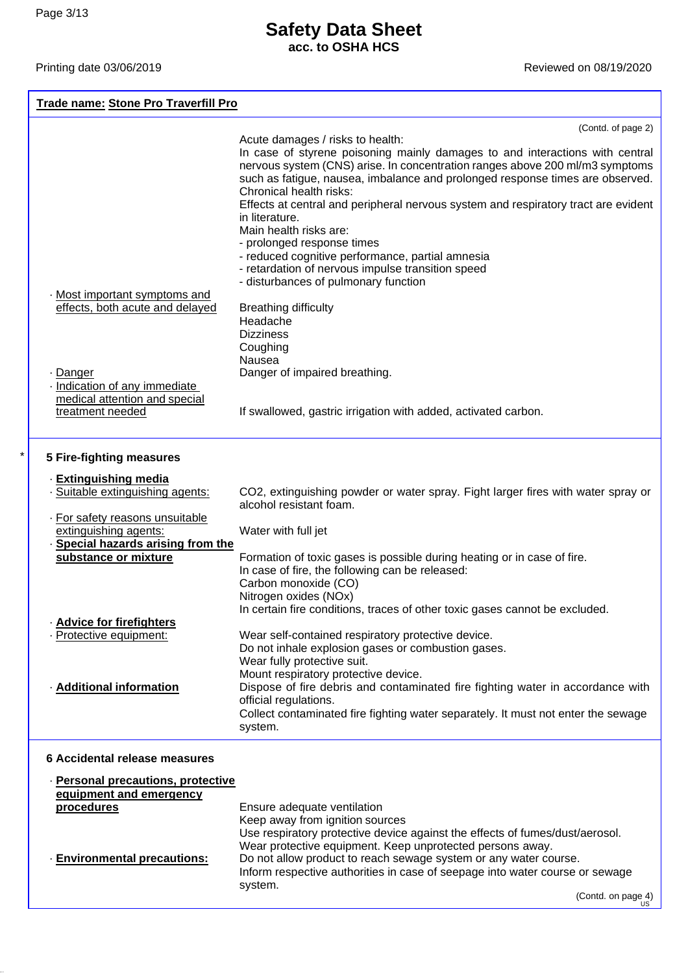# **Safety Data Sheet**

**acc. to OSHA HCS**

| Trade name: Stone Pro Traverfill Pro                                                                                                 |                                                                                                                                                                                                                                                                          |  |
|--------------------------------------------------------------------------------------------------------------------------------------|--------------------------------------------------------------------------------------------------------------------------------------------------------------------------------------------------------------------------------------------------------------------------|--|
|                                                                                                                                      | (Contd. of page 2)                                                                                                                                                                                                                                                       |  |
|                                                                                                                                      | Acute damages / risks to health:                                                                                                                                                                                                                                         |  |
|                                                                                                                                      | In case of styrene poisoning mainly damages to and interactions with central<br>nervous system (CNS) arise. In concentration ranges above 200 ml/m3 symptoms<br>such as fatigue, nausea, imbalance and prolonged response times are observed.<br>Chronical health risks: |  |
|                                                                                                                                      | Effects at central and peripheral nervous system and respiratory tract are evident<br>in literature.                                                                                                                                                                     |  |
|                                                                                                                                      | Main health risks are:<br>- prolonged response times                                                                                                                                                                                                                     |  |
|                                                                                                                                      | - reduced cognitive performance, partial amnesia                                                                                                                                                                                                                         |  |
|                                                                                                                                      | - retardation of nervous impulse transition speed<br>- disturbances of pulmonary function                                                                                                                                                                                |  |
| Most important symptoms and                                                                                                          |                                                                                                                                                                                                                                                                          |  |
| effects, both acute and delayed                                                                                                      | <b>Breathing difficulty</b><br>Headache                                                                                                                                                                                                                                  |  |
|                                                                                                                                      | <b>Dizziness</b>                                                                                                                                                                                                                                                         |  |
|                                                                                                                                      | Coughing                                                                                                                                                                                                                                                                 |  |
|                                                                                                                                      | Nausea                                                                                                                                                                                                                                                                   |  |
| Danger                                                                                                                               | Danger of impaired breathing.                                                                                                                                                                                                                                            |  |
| Indication of any immediate<br>medical attention and special                                                                         |                                                                                                                                                                                                                                                                          |  |
| treatment needed                                                                                                                     | If swallowed, gastric irrigation with added, activated carbon.                                                                                                                                                                                                           |  |
|                                                                                                                                      |                                                                                                                                                                                                                                                                          |  |
| <b>5 Fire-fighting measures</b><br><b>Extinguishing media</b><br>· Suitable extinguishing agents:<br>· For safety reasons unsuitable | CO2, extinguishing powder or water spray. Fight larger fires with water spray or<br>alcohol resistant foam.                                                                                                                                                              |  |
| extinguishing agents:                                                                                                                | Water with full jet                                                                                                                                                                                                                                                      |  |
| Special hazards arising from the                                                                                                     |                                                                                                                                                                                                                                                                          |  |
| substance or mixture                                                                                                                 | Formation of toxic gases is possible during heating or in case of fire.<br>In case of fire, the following can be released:                                                                                                                                               |  |
|                                                                                                                                      | Carbon monoxide (CO)                                                                                                                                                                                                                                                     |  |
|                                                                                                                                      | Nitrogen oxides (NOx)                                                                                                                                                                                                                                                    |  |
| Advice for firefighters                                                                                                              | In certain fire conditions, traces of other toxic gases cannot be excluded                                                                                                                                                                                               |  |
| · Protective equipment:                                                                                                              | Wear self-contained respiratory protective device.                                                                                                                                                                                                                       |  |
|                                                                                                                                      | Do not inhale explosion gases or combustion gases.                                                                                                                                                                                                                       |  |
|                                                                                                                                      | Wear fully protective suit.                                                                                                                                                                                                                                              |  |
|                                                                                                                                      | Mount respiratory protective device.                                                                                                                                                                                                                                     |  |
| · Additional information                                                                                                             | Dispose of fire debris and contaminated fire fighting water in accordance with<br>official regulations.                                                                                                                                                                  |  |
|                                                                                                                                      | Collect contaminated fire fighting water separately. It must not enter the sewage<br>system.                                                                                                                                                                             |  |
| 6 Accidental release measures<br><b>Personal precautions protective</b>                                                              |                                                                                                                                                                                                                                                                          |  |

| · Personal precautions, protective |                                                                              |
|------------------------------------|------------------------------------------------------------------------------|
| equipment and emergency            |                                                                              |
| procedures                         | Ensure adequate ventilation                                                  |
|                                    | Keep away from ignition sources                                              |
|                                    | Use respiratory protective device against the effects of fumes/dust/aerosol. |
|                                    | Wear protective equipment. Keep unprotected persons away.                    |
| <b>Environmental precautions:</b>  | Do not allow product to reach sewage system or any water course.             |
|                                    | Inform respective authorities in case of seepage into water course or sewage |
|                                    | system.                                                                      |
|                                    |                                                                              |

(Contd. on page 4) US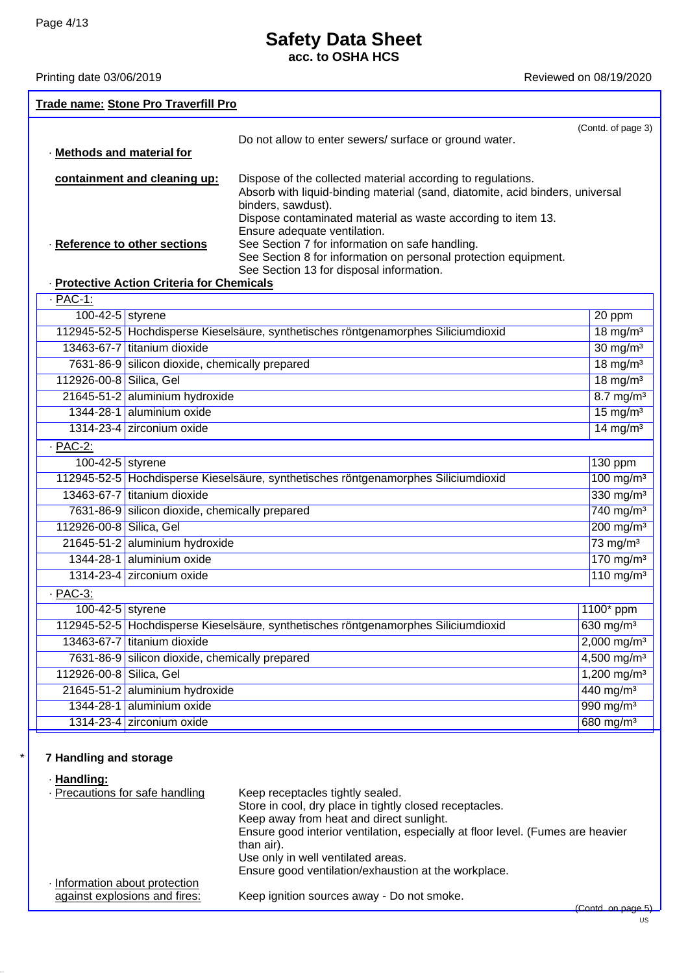### **Safety Data Sheet**

**acc. to OSHA HCS**

Printing date 03/06/2019 **Printing date 03/06/2019** Reviewed on 08/19/2020

| <b>Trade name: Stone Pro Traverfill Pro</b> |                                                                                                                                                                                                                                                                    |  |
|---------------------------------------------|--------------------------------------------------------------------------------------------------------------------------------------------------------------------------------------------------------------------------------------------------------------------|--|
| · Methods and material for                  | (Contd. of page 3)<br>Do not allow to enter sewers/ surface or ground water.                                                                                                                                                                                       |  |
| containment and cleaning up:                | Dispose of the collected material according to regulations.<br>Absorb with liquid-binding material (sand, diatomite, acid binders, universal<br>binders, sawdust).<br>Dispose contaminated material as waste according to item 13.<br>Ensure adequate ventilation. |  |
| Reference to other sections                 | See Section 7 for information on safe handling.<br>See Section 8 for information on personal protection equipment.<br>See Section 13 for disposal information.                                                                                                     |  |

#### · **Protective Action Criteria for Chemicals**

| $·$ PAC-1:              |                                                                                    |                      |
|-------------------------|------------------------------------------------------------------------------------|----------------------|
| 100-42-5 styrene        |                                                                                    | 20 ppm               |
|                         | 112945-52-5 Hochdisperse Kieselsäure, synthetisches röntgenamorphes Siliciumdioxid | $18 \text{ mg/m}^3$  |
|                         | 13463-67-7 titanium dioxide                                                        | $30 \text{ mg/m}^3$  |
|                         | 7631-86-9 silicon dioxide, chemically prepared                                     | $18 \text{ mg/m}^3$  |
| 112926-00-8 Silica, Gel |                                                                                    | 18 mg/m <sup>3</sup> |
|                         | 21645-51-2 aluminium hydroxide                                                     | $8.7 \text{ mg/m}^3$ |
|                         | 1344-28-1 aluminium oxide                                                          | $15 \text{ mg/m}^3$  |
|                         | 1314-23-4 zirconium oxide                                                          | 14 mg/m <sup>3</sup> |
| $-$ PAC-2:              |                                                                                    |                      |

| $100-42-5$ styrene      |                                                                                    | $130$ ppm               |
|-------------------------|------------------------------------------------------------------------------------|-------------------------|
|                         | 112945-52-5 Hochdisperse Kieselsäure, synthetisches röntgenamorphes Siliciumdioxid | $100$ mg/m <sup>3</sup> |
|                         | 13463-67-7 titanium dioxide                                                        | 330 mg/m <sup>3</sup>   |
|                         | 7631-86-9 silicon dioxide, chemically prepared                                     | $740$ mg/m <sup>3</sup> |
| 112926-00-8 Silica, Gel |                                                                                    | $200$ mg/m <sup>3</sup> |
|                         | 21645-51-2 aluminium hydroxide                                                     | $73 \text{ mg/m}^3$     |
|                         | 1344-28-1 aluminium oxide                                                          | $170$ mg/m <sup>3</sup> |
|                         | 1314-23-4 zirconium oxide                                                          | $110$ mg/m <sup>3</sup> |
| $-PAC-3$ :              |                                                                                    |                         |

| $100-42-5$ styrene      |                                                                                    | $1100*$ ppm               |
|-------------------------|------------------------------------------------------------------------------------|---------------------------|
|                         | 112945-52-5 Hochdisperse Kieselsäure, synthetisches röntgenamorphes Siliciumdioxid | 630 mg/m <sup>3</sup>     |
|                         | 13463-67-7 titanium dioxide                                                        | $2,000$ mg/m <sup>3</sup> |
|                         | 7631-86-9 silicon dioxide, chemically prepared                                     | $4,500$ mg/m <sup>3</sup> |
| 112926-00-8 Silica, Gel |                                                                                    | 1,200 mg/m <sup>3</sup>   |
|                         | 21645-51-2 aluminium hydroxide                                                     | $440$ mg/m <sup>3</sup>   |
|                         | 1344-28-1 aluminium oxide                                                          | 990 mg/m <sup>3</sup>     |
|                         | 1314-23-4 zirconium oxide                                                          | 680 mg/m <sup>3</sup>     |

#### \* **7 Handling and storage**

#### · **Handling:**

| · Precautions for safe handling | Keep receptacles tightly sealed.                                                              |
|---------------------------------|-----------------------------------------------------------------------------------------------|
|                                 | Store in cool, dry place in tightly closed receptacles.                                       |
|                                 | Keep away from heat and direct sunlight.                                                      |
|                                 | Ensure good interior ventilation, especially at floor level. (Fumes are heavier<br>than air). |
|                                 | Use only in well ventilated areas.                                                            |
|                                 | Ensure good ventilation/exhaustion at the workplace.                                          |
| Information about protection    |                                                                                               |
| against explosions and fires:   | Keep ignition sources away - Do not smoke.<br>$\sim$                                          |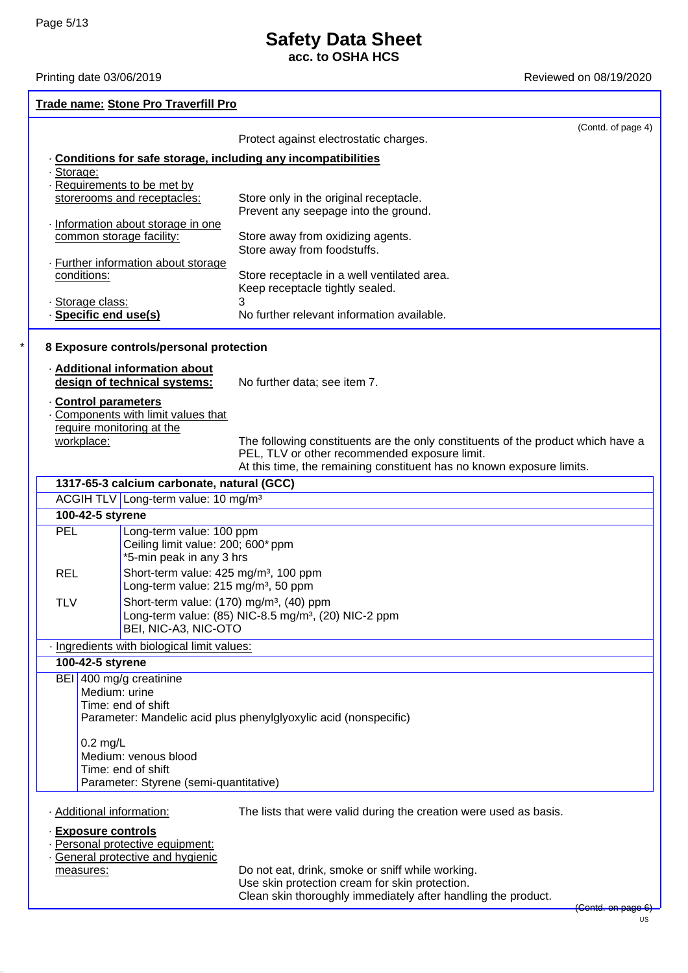**acc. to OSHA HCS**

Printing date 03/06/2019 **Printing** date 03/06/2019

#### **Trade name: Stone Pro Traverfill Pro**

|                                                                    | (Contd. of page 4)                                                               |
|--------------------------------------------------------------------|----------------------------------------------------------------------------------|
|                                                                    | Protect against electrostatic charges.                                           |
| Conditions for safe storage, including any incompatibilities       |                                                                                  |
| Storage:<br>Requirements to be met by                              |                                                                                  |
| storerooms and receptacles:                                        | Store only in the original receptacle.                                           |
|                                                                    | Prevent any seepage into the ground.                                             |
| · Information about storage in one                                 |                                                                                  |
| common storage facility:                                           | Store away from oxidizing agents.                                                |
|                                                                    | Store away from foodstuffs.                                                      |
| · Further information about storage                                |                                                                                  |
| conditions:                                                        | Store receptacle in a well ventilated area.<br>Keep receptacle tightly sealed.   |
| · Storage class:                                                   |                                                                                  |
| Specific end use(s)                                                | No further relevant information available.                                       |
| 8 Exposure controls/personal protection                            |                                                                                  |
| - Additional information about<br>design of technical systems:     | No further data; see item 7.                                                     |
|                                                                    |                                                                                  |
| Control parameters<br>Components with limit values that            |                                                                                  |
| require monitoring at the                                          |                                                                                  |
| workplace:                                                         | The following constituents are the only constituents of the product which have a |
|                                                                    | PEL, TLV or other recommended exposure limit.                                    |
|                                                                    | At this time, the remaining constituent has no known exposure limits.            |
| 1317-65-3 calcium carbonate, natural (GCC)                         |                                                                                  |
| ACGIH TLV Long-term value: 10 mg/m <sup>3</sup>                    |                                                                                  |
| 100-42-5 styrene                                                   |                                                                                  |
| <b>PEL</b><br>Long-term value: 100 ppm                             |                                                                                  |
| Ceiling limit value: 200; 600* ppm                                 |                                                                                  |
| *5-min peak in any 3 hrs                                           |                                                                                  |
| Short-term value: 425 mg/m <sup>3</sup> , 100 ppm<br><b>REL</b>    |                                                                                  |
| Long-term value: 215 mg/m <sup>3</sup> , 50 ppm                    |                                                                                  |
| Short-term value: (170) mg/m <sup>3</sup> , (40) ppm<br><b>TLV</b> |                                                                                  |
| BEI, NIC-A3, NIC-OTO                                               | Long-term value: (85) NIC-8.5 mg/m <sup>3</sup> , (20) NIC-2 ppm                 |
|                                                                    |                                                                                  |
| · Ingredients with biological limit values:                        |                                                                                  |
| 100-42-5 styrene                                                   |                                                                                  |
| BEI 400 mg/g creatinine<br>Medium: urine                           |                                                                                  |
| Time: end of shift                                                 |                                                                                  |
|                                                                    | Parameter: Mandelic acid plus phenylglyoxylic acid (nonspecific)                 |
|                                                                    |                                                                                  |
| $0.2$ mg/L                                                         |                                                                                  |
| Medium: venous blood                                               |                                                                                  |
| Time: end of shift                                                 |                                                                                  |
| Parameter: Styrene (semi-quantitative)                             |                                                                                  |
| · Additional information:                                          | The lists that were valid during the creation were used as basis.                |
| <b>Exposure controls</b>                                           |                                                                                  |
| · Personal protective equipment:                                   |                                                                                  |
| · General protective and hygienic                                  |                                                                                  |
| measures:                                                          | Do not eat, drink, smoke or sniff while working.                                 |
|                                                                    | Use skin protection cream for skin protection.                                   |
|                                                                    | Clean skin thoroughly immediately after handling the product.                    |
|                                                                    | <del>(Contd. on page 6</del> )                                                   |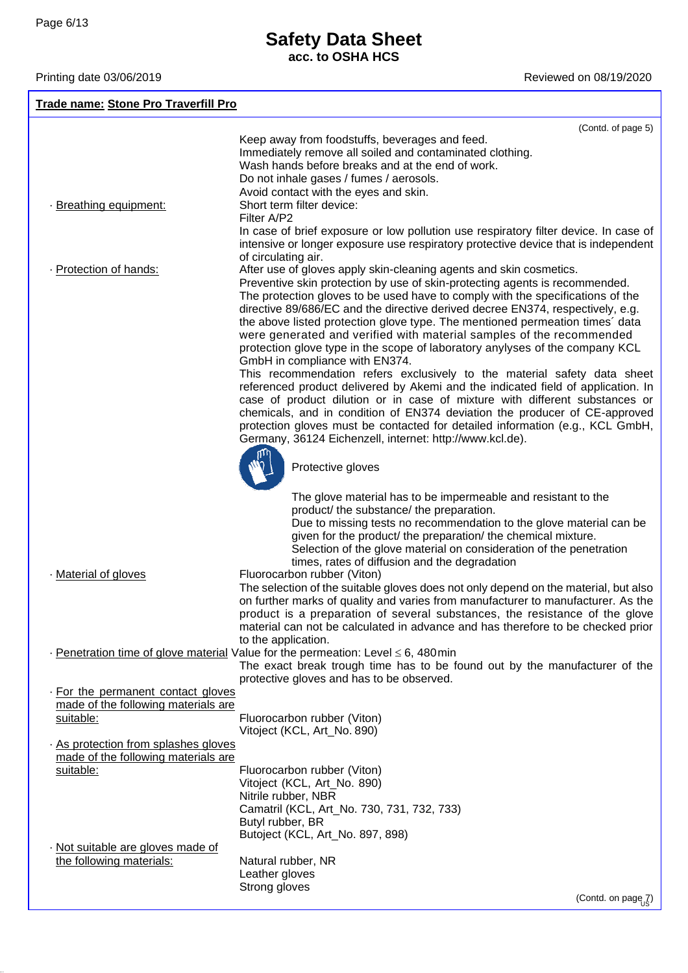**acc. to OSHA HCS**

| Trade name: Stone Pro Traverfill Pro             |                                                                                                                                                      |
|--------------------------------------------------|------------------------------------------------------------------------------------------------------------------------------------------------------|
|                                                  | (Contd. of page 5)                                                                                                                                   |
|                                                  | Keep away from foodstuffs, beverages and feed.                                                                                                       |
|                                                  | Immediately remove all soiled and contaminated clothing.                                                                                             |
|                                                  | Wash hands before breaks and at the end of work.                                                                                                     |
|                                                  | Do not inhale gases / fumes / aerosols.                                                                                                              |
|                                                  | Avoid contact with the eyes and skin.                                                                                                                |
| · Breathing equipment:                           | Short term filter device:                                                                                                                            |
|                                                  | Filter A/P2                                                                                                                                          |
|                                                  | In case of brief exposure or low pollution use respiratory filter device. In case of                                                                 |
|                                                  | intensive or longer exposure use respiratory protective device that is independent                                                                   |
|                                                  | of circulating air.                                                                                                                                  |
| · Protection of hands:                           | After use of gloves apply skin-cleaning agents and skin cosmetics.                                                                                   |
|                                                  | Preventive skin protection by use of skin-protecting agents is recommended.                                                                          |
|                                                  | The protection gloves to be used have to comply with the specifications of the                                                                       |
|                                                  | directive 89/686/EC and the directive derived decree EN374, respectively, e.g.                                                                       |
|                                                  | the above listed protection glove type. The mentioned permeation times' data<br>were generated and verified with material samples of the recommended |
|                                                  | protection glove type in the scope of laboratory anylyses of the company KCL                                                                         |
|                                                  | GmbH in compliance with EN374.                                                                                                                       |
|                                                  | This recommendation refers exclusively to the material safety data sheet                                                                             |
|                                                  | referenced product delivered by Akemi and the indicated field of application. In                                                                     |
|                                                  | case of product dilution or in case of mixture with different substances or                                                                          |
|                                                  | chemicals, and in condition of EN374 deviation the producer of CE-approved                                                                           |
|                                                  | protection gloves must be contacted for detailed information (e.g., KCL GmbH,                                                                        |
|                                                  | Germany, 36124 Eichenzell, internet: http://www.kcl.de).                                                                                             |
|                                                  |                                                                                                                                                      |
|                                                  | Protective gloves                                                                                                                                    |
|                                                  |                                                                                                                                                      |
|                                                  | The glove material has to be impermeable and resistant to the                                                                                        |
|                                                  | product/ the substance/ the preparation.                                                                                                             |
|                                                  | Due to missing tests no recommendation to the glove material can be                                                                                  |
|                                                  | given for the product/ the preparation/ the chemical mixture.                                                                                        |
|                                                  | Selection of the glove material on consideration of the penetration                                                                                  |
|                                                  | times, rates of diffusion and the degradation                                                                                                        |
| Material of gloves                               | Fluorocarbon rubber (Viton)                                                                                                                          |
|                                                  | The selection of the suitable gloves does not only depend on the material, but also                                                                  |
|                                                  | on further marks of quality and varies from manufacturer to manufacturer. As the                                                                     |
|                                                  | product is a preparation of several substances, the resistance of the glove                                                                          |
|                                                  | material can not be calculated in advance and has therefore to be checked prior                                                                      |
|                                                  | to the application.                                                                                                                                  |
|                                                  | $\frac{1}{2}$ Penetration time of glove material Value for the permeation: Level $\leq 6$ , 480 min                                                  |
|                                                  | The exact break trough time has to be found out by the manufacturer of the                                                                           |
|                                                  | protective gloves and has to be observed.                                                                                                            |
| . For the permanent contact gloves               |                                                                                                                                                      |
| made of the following materials are              |                                                                                                                                                      |
| suitable:                                        | Fluorocarbon rubber (Viton)                                                                                                                          |
|                                                  | Vitoject (KCL, Art_No. 890)                                                                                                                          |
| As protection from splashes gloves               |                                                                                                                                                      |
| made of the following materials are<br>suitable: |                                                                                                                                                      |
|                                                  | Fluorocarbon rubber (Viton)<br>Vitoject (KCL, Art_No. 890)                                                                                           |
|                                                  | Nitrile rubber, NBR                                                                                                                                  |
|                                                  | Camatril (KCL, Art_No. 730, 731, 732, 733)                                                                                                           |
|                                                  | Butyl rubber, BR                                                                                                                                     |
|                                                  | Butoject (KCL, Art_No. 897, 898)                                                                                                                     |
| · Not suitable are gloves made of                |                                                                                                                                                      |
| the following materials:                         | Natural rubber, NR                                                                                                                                   |
|                                                  | Leather gloves                                                                                                                                       |
|                                                  | Strong gloves                                                                                                                                        |
|                                                  | (Contd. on page 7)                                                                                                                                   |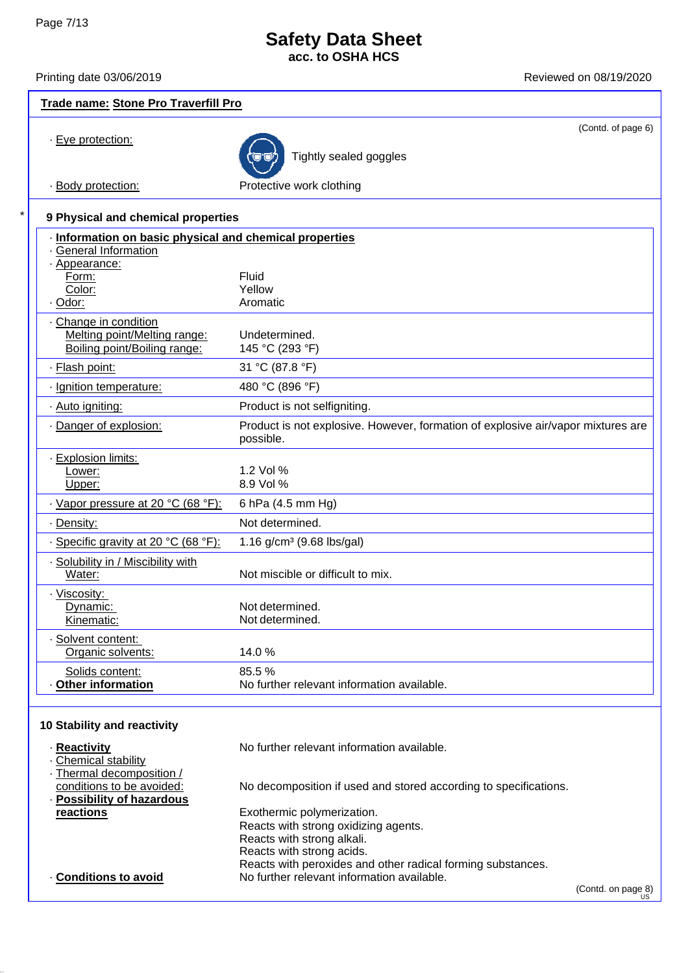# **Safety Data Sheet**

**acc. to OSHA HCS**

| Trade name: Stone Pro Traverfill Pro                    |                                                                                               |  |
|---------------------------------------------------------|-----------------------------------------------------------------------------------------------|--|
|                                                         | (Contd. of page 6)                                                                            |  |
| · Eye protection:                                       | Tightly sealed goggles                                                                        |  |
| · Body protection:                                      | Protective work clothing                                                                      |  |
| 9 Physical and chemical properties                      |                                                                                               |  |
| · Information on basic physical and chemical properties |                                                                                               |  |
| · General Information<br>· Appearance:                  |                                                                                               |  |
| Form:                                                   | Fluid                                                                                         |  |
| Color:                                                  | Yellow                                                                                        |  |
| - Odor:                                                 | Aromatic                                                                                      |  |
| . Change in condition<br>Melting point/Melting range:   | Undetermined.                                                                                 |  |
| Boiling point/Boiling range:                            | 145 °C (293 °F)                                                                               |  |
| · Flash point:                                          | 31 °C (87.8 °F)                                                                               |  |
| · Ignition temperature:                                 | 480 °C (896 °F)                                                                               |  |
| · Auto igniting:                                        | Product is not selfigniting.                                                                  |  |
| Danger of explosion:                                    | Product is not explosive. However, formation of explosive air/vapor mixtures are<br>possible. |  |
| · Explosion limits:                                     |                                                                                               |  |
| Lower:<br>Upper:                                        | 1.2 Vol %<br>8.9 Vol %                                                                        |  |
| . Vapor pressure at 20 °C (68 °F):                      | 6 hPa (4.5 mm Hg)                                                                             |  |
| - Density:                                              | Not determined.                                                                               |  |
| Specific gravity at 20 °C (68 °F):                      | 1.16 g/cm <sup>3</sup> (9.68 lbs/gal)                                                         |  |
| - Solubility in / Miscibility with                      |                                                                                               |  |
| Water:                                                  | Not miscible or difficult to mix.                                                             |  |
| · Viscosity:                                            |                                                                                               |  |
| Dynamic:<br>Kinematic:                                  | Not determined.<br>Not determined.                                                            |  |
| · Solvent content:                                      |                                                                                               |  |
| Organic solvents:                                       | 14.0%                                                                                         |  |
| Solids content:                                         | 85.5%                                                                                         |  |
| Other information                                       | No further relevant information available.                                                    |  |
| 10 Stability and reactivity                             |                                                                                               |  |
|                                                         |                                                                                               |  |
| · Reactivity<br>· Chemical stability                    | No further relevant information available.                                                    |  |
| · Thermal decomposition /                               |                                                                                               |  |
| conditions to be avoided:<br>· Possibility of hazardous | No decomposition if used and stored according to specifications.                              |  |
| reactions                                               | Exothermic polymerization.                                                                    |  |
|                                                         | Reacts with strong oxidizing agents.                                                          |  |
|                                                         | Reacts with strong alkali.<br>Reacts with strong acids.                                       |  |
|                                                         | Reacts with peroxides and other radical forming substances.                                   |  |
| <b>Conditions to avoid</b>                              | No further relevant information available.                                                    |  |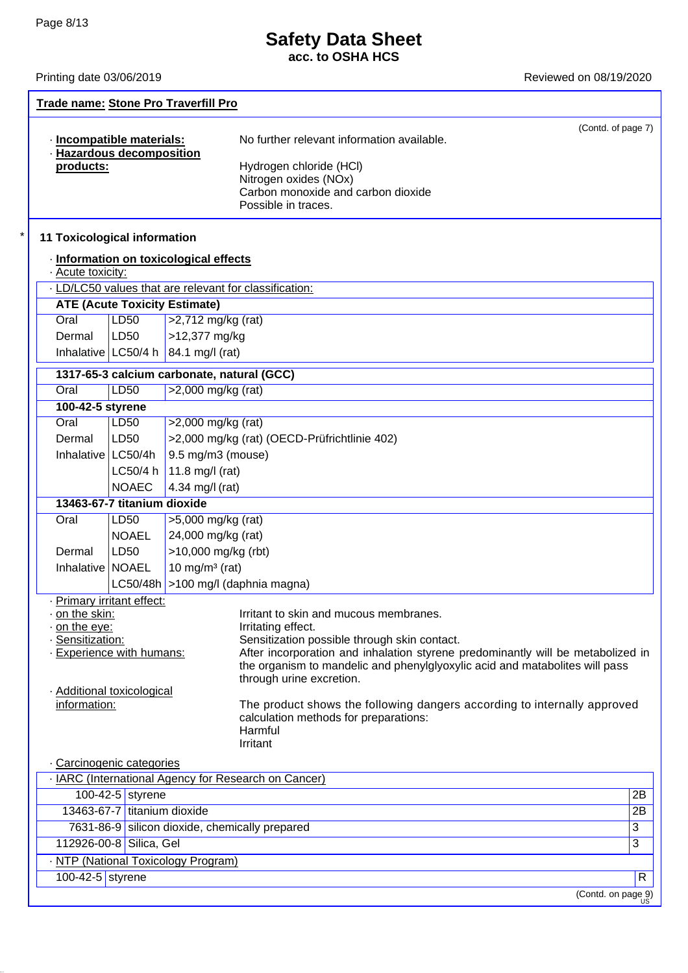$\mathbf{r}$ 

## **Safety Data Sheet**

**acc. to OSHA HCS**

Printing date 03/06/2019 **Printing** date 03/06/2019

| Trade name: Stone Pro Traverfill Pro                                                                              |                             |                                            |                                                                                 |                |
|-------------------------------------------------------------------------------------------------------------------|-----------------------------|--------------------------------------------|---------------------------------------------------------------------------------|----------------|
|                                                                                                                   |                             |                                            | (Contd. of page 7)                                                              |                |
| · Incompatible materials:                                                                                         |                             |                                            | No further relevant information available.                                      |                |
| <b>Hazardous decomposition</b>                                                                                    |                             |                                            |                                                                                 |                |
| products:                                                                                                         |                             |                                            | Hydrogen chloride (HCl)                                                         |                |
|                                                                                                                   |                             |                                            | Nitrogen oxides (NOx)<br>Carbon monoxide and carbon dioxide                     |                |
|                                                                                                                   |                             |                                            | Possible in traces.                                                             |                |
|                                                                                                                   |                             |                                            |                                                                                 |                |
| <b>11 Toxicological information</b>                                                                               |                             |                                            |                                                                                 |                |
|                                                                                                                   |                             |                                            |                                                                                 |                |
| · Acute toxicity:                                                                                                 |                             | · Information on toxicological effects     |                                                                                 |                |
|                                                                                                                   |                             |                                            | . LD/LC50 values that are relevant for classification:                          |                |
|                                                                                                                   |                             | <b>ATE (Acute Toxicity Estimate)</b>       |                                                                                 |                |
| Oral                                                                                                              | LD50                        | $>2,712$ mg/kg (rat)                       |                                                                                 |                |
| Dermal                                                                                                            | LD <sub>50</sub>            | >12,377 mg/kg                              |                                                                                 |                |
|                                                                                                                   |                             | Inhalative   LC50/4 h   84.1 mg/l (rat)    |                                                                                 |                |
|                                                                                                                   |                             |                                            |                                                                                 |                |
|                                                                                                                   |                             | 1317-65-3 calcium carbonate, natural (GCC) |                                                                                 |                |
| Oral                                                                                                              | <b>LD50</b>                 | $>2,000$ mg/kg (rat)                       |                                                                                 |                |
| 100-42-5 styrene                                                                                                  |                             |                                            |                                                                                 |                |
| Oral                                                                                                              | LD50                        | $>2,000$ mg/kg (rat)                       |                                                                                 |                |
| Dermal                                                                                                            | LD50                        |                                            | >2,000 mg/kg (rat) (OECD-Prüfrichtlinie 402)                                    |                |
| Inhalative LC50/4h                                                                                                |                             | $9.5$ mg/m $3$ (mouse)                     |                                                                                 |                |
|                                                                                                                   |                             | LC50/4 h   11.8 mg/l (rat)                 |                                                                                 |                |
|                                                                                                                   | <b>NOAEC</b>                | 4.34 mg/l (rat)                            |                                                                                 |                |
|                                                                                                                   | 13463-67-7 titanium dioxide |                                            |                                                                                 |                |
| Oral                                                                                                              | LD50                        | >5,000 mg/kg (rat)                         |                                                                                 |                |
|                                                                                                                   | <b>NOAEL</b>                | 24,000 mg/kg (rat)                         |                                                                                 |                |
| Dermal                                                                                                            | LD50                        | >10,000 mg/kg (rbt)                        |                                                                                 |                |
| Inhalative NOAEL                                                                                                  |                             | 10 mg/m <sup>3</sup> (rat)                 |                                                                                 |                |
|                                                                                                                   |                             |                                            | LC50/48h >100 mg/l (daphnia magna)                                              |                |
|                                                                                                                   | Primary irritant effect:    |                                            |                                                                                 |                |
| on the skin:                                                                                                      |                             |                                            | Irritant to skin and mucous membranes.                                          |                |
| <u>on the eye:</u><br>Sensitization:                                                                              |                             |                                            | Irritating effect.<br>Sensitization possible through skin contact.              |                |
|                                                                                                                   | Experience with humans:     |                                            | After incorporation and inhalation styrene predominantly will be metabolized in |                |
|                                                                                                                   |                             |                                            | the organism to mandelic and phenylglyoxylic acid and matabolites will pass     |                |
|                                                                                                                   |                             |                                            | through urine excretion.                                                        |                |
| Additional toxicological<br>information:                                                                          |                             |                                            |                                                                                 |                |
| The product shows the following dangers according to internally approved<br>calculation methods for preparations: |                             |                                            |                                                                                 |                |
|                                                                                                                   |                             |                                            | Harmful                                                                         |                |
|                                                                                                                   |                             |                                            | Irritant                                                                        |                |
|                                                                                                                   | Carcinogenic categories     |                                            |                                                                                 |                |
|                                                                                                                   |                             |                                            | IARC (International Agency for Research on Cancer)                              |                |
|                                                                                                                   | 100-42-5 styrene            |                                            |                                                                                 | 2B             |
|                                                                                                                   | 13463-67-7 titanium dioxide |                                            |                                                                                 | 2B             |
|                                                                                                                   |                             |                                            | 7631-86-9 silicon dioxide, chemically prepared                                  | $\overline{3}$ |
| 112926-00-8 Silica, Gel                                                                                           |                             |                                            |                                                                                 | $\overline{3}$ |
|                                                                                                                   |                             | - NTP (National Toxicology Program)        |                                                                                 |                |
| 100-42-5 styrene                                                                                                  |                             |                                            |                                                                                 | R              |
|                                                                                                                   |                             |                                            |                                                                                 |                |

(Contd. on page 9)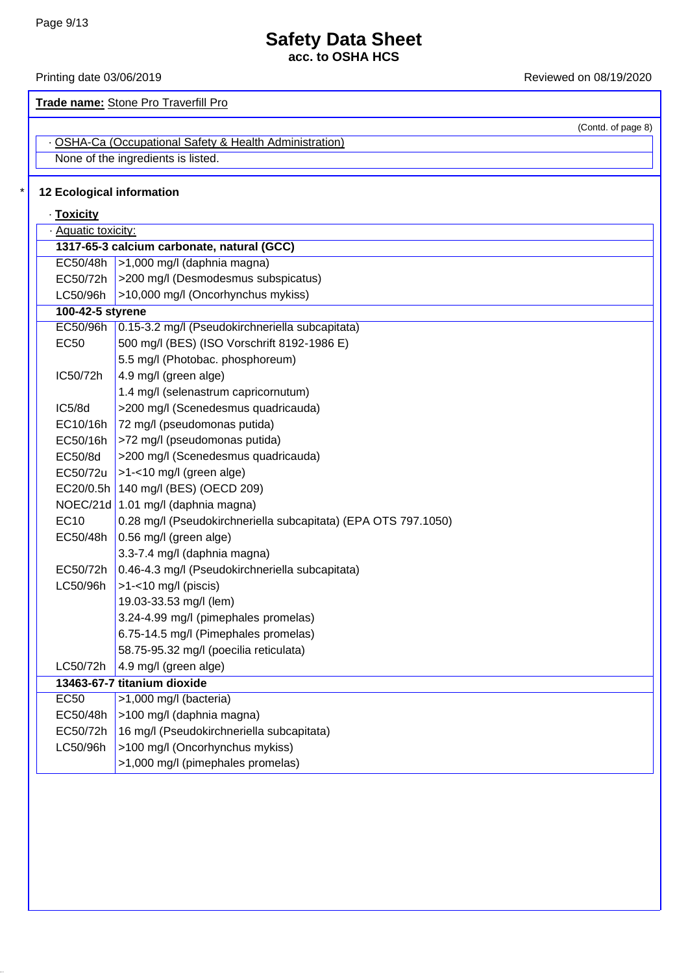**acc. to OSHA HCS**

Printing date 03/06/2019 **Printing date 03/06/2019** Reviewed on 08/19/2020

(Contd. of page 8)

**Trade name:** Stone Pro Traverfill Pro

None of the ingredients is listed. · OSHA-Ca (Occupational Safety & Health Administration)

#### **12 Ecological information**

| · Toxicity          |                                                                |
|---------------------|----------------------------------------------------------------|
| · Aquatic toxicity: |                                                                |
|                     | 1317-65-3 calcium carbonate, natural (GCC)                     |
| EC50/48h            | $\vert$ >1,000 mg/l (daphnia magna)                            |
| EC50/72h            | >200 mg/l (Desmodesmus subspicatus)                            |
| LC50/96h            | >10,000 mg/l (Oncorhynchus mykiss)                             |
| 100-42-5 styrene    |                                                                |
| EC50/96h            | 0.15-3.2 mg/l (Pseudokirchneriella subcapitata)                |
| <b>EC50</b>         | 500 mg/l (BES) (ISO Vorschrift 8192-1986 E)                    |
|                     | 5.5 mg/l (Photobac. phosphoreum)                               |
| IC50/72h            | 4.9 mg/l (green alge)                                          |
|                     | 1.4 mg/l (selenastrum capricornutum)                           |
| IC5/8d              | >200 mg/l (Scenedesmus quadricauda)                            |
| EC10/16h            | 72 mg/l (pseudomonas putida)                                   |
| EC50/16h            | >72 mg/l (pseudomonas putida)                                  |
| EC50/8d             | >200 mg/l (Scenedesmus quadricauda)                            |
| EC50/72u            | $>1-10$ mg/l (green alge)                                      |
|                     | EC20/0.5h   140 mg/l (BES) (OECD 209)                          |
|                     | NOEC/21d 1.01 mg/l (daphnia magna)                             |
| <b>EC10</b>         | 0.28 mg/l (Pseudokirchneriella subcapitata) (EPA OTS 797.1050) |
| EC50/48h            | 0.56 mg/l (green alge)                                         |
|                     | 3.3-7.4 mg/l (daphnia magna)                                   |
| EC50/72h            | 0.46-4.3 mg/l (Pseudokirchneriella subcapitata)                |
| LC50/96h            | $>1 - 10$ mg/l (piscis)                                        |
|                     | 19.03-33.53 mg/l (lem)                                         |
|                     | 3.24-4.99 mg/l (pimephales promelas)                           |
|                     | 6.75-14.5 mg/l (Pimephales promelas)                           |
|                     | 58.75-95.32 mg/l (poecilia reticulata)                         |
| LC50/72h            | 4.9 mg/l (green alge)                                          |
|                     | 13463-67-7 titanium dioxide                                    |
| <b>EC50</b>         | >1,000 mg/l (bacteria)                                         |
| EC50/48h            | $\vert$ >100 mg/l (daphnia magna)                              |
| EC50/72h            | 16 mg/l (Pseudokirchneriella subcapitata)                      |
| LC50/96h            | >100 mg/l (Oncorhynchus mykiss)                                |
|                     | >1,000 mg/l (pimephales promelas)                              |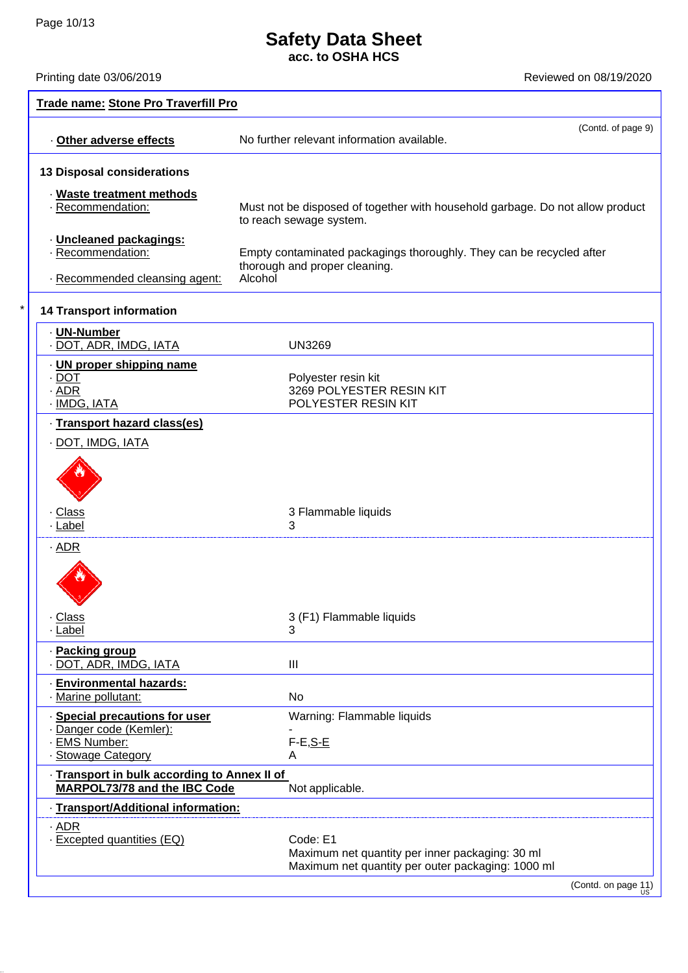#### **Safety Data Sheet**

**acc. to OSHA HCS**

| Trade name: Stone Pro Traverfill Pro                                                                            |                                                                                                                  |                     |  |  |
|-----------------------------------------------------------------------------------------------------------------|------------------------------------------------------------------------------------------------------------------|---------------------|--|--|
| . Other adverse effects                                                                                         | No further relevant information available.                                                                       | (Contd. of page 9)  |  |  |
| <b>13 Disposal considerations</b>                                                                               |                                                                                                                  |                     |  |  |
| · Waste treatment methods<br>· Recommendation:                                                                  | Must not be disposed of together with household garbage. Do not allow product<br>to reach sewage system.         |                     |  |  |
| · Uncleaned packagings:<br>· Recommendation:<br>· Recommended cleansing agent:                                  | Empty contaminated packagings thoroughly. They can be recycled after<br>thorough and proper cleaning.<br>Alcohol |                     |  |  |
| <b>14 Transport information</b>                                                                                 |                                                                                                                  |                     |  |  |
| <b>UN-Number</b><br>· DOT, ADR, IMDG, IATA                                                                      | <b>UN3269</b>                                                                                                    |                     |  |  |
| · UN proper shipping name<br>· DOT<br>· ADR<br>· IMDG, IATA                                                     | Polyester resin kit<br>3269 POLYESTER RESIN KIT<br>POLYESTER RESIN KIT                                           |                     |  |  |
| · Transport hazard class(es)                                                                                    |                                                                                                                  |                     |  |  |
| <u>· DOT, IMDG, IATA</u>                                                                                        |                                                                                                                  |                     |  |  |
|                                                                                                                 |                                                                                                                  |                     |  |  |
| <b>Class</b><br>- Label                                                                                         | 3 Flammable liquids<br>3                                                                                         |                     |  |  |
|                                                                                                                 |                                                                                                                  |                     |  |  |
| <u> Class</u><br>· Label                                                                                        | 3 (F1) Flammable liquids<br>3                                                                                    |                     |  |  |
| <b>Packing group</b><br>DOT, ADR, IMDG, IATA                                                                    | Ш                                                                                                                |                     |  |  |
| <b>Environmental hazards:</b><br>Marine pollutant:                                                              | No.                                                                                                              |                     |  |  |
| <b>Special precautions for user</b><br>· Danger code (Kemler):<br><b>EMS Number:</b><br><b>Stowage Category</b> | Warning: Flammable liquids<br>$F-E, S-E$<br>A                                                                    |                     |  |  |
| · Transport in bulk according to Annex II of<br>MARPOL73/78 and the IBC Code                                    | Not applicable.                                                                                                  |                     |  |  |
| <b>Transport/Additional information:</b>                                                                        |                                                                                                                  |                     |  |  |
| · ADR<br>· Excepted quantities (EQ)                                                                             | Code: E1<br>Maximum net quantity per inner packaging: 30 ml<br>Maximum net quantity per outer packaging: 1000 ml |                     |  |  |
|                                                                                                                 |                                                                                                                  | (Contd. on page 11) |  |  |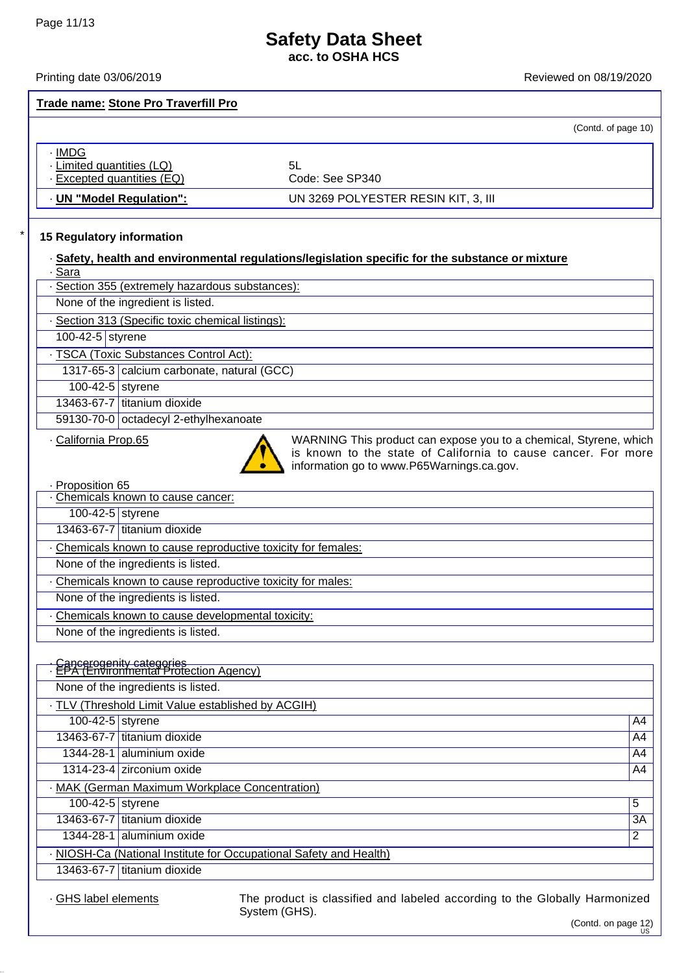# **Safety Data Sheet**

**acc. to OSHA HCS**

Printing date 03/06/2019 Reviewed on 08/19/2020

#### **Trade name: Stone Pro Traverfill Pro**

|                                                                 |                                     | (Contd. of page 10) |
|-----------------------------------------------------------------|-------------------------------------|---------------------|
| · IMDG<br>Limited quantities (LQ)<br>· Excepted quantities (EQ) | 5L<br>Code: See SP340               |                     |
| <b>UN</b> "Model Regulation":                                   | UN 3269 POLYESTER RESIN KIT, 3, III |                     |

#### **15 Regulatory information**

· **Safety, health and environmental regulations/legislation specific for the substance or mixture** · Sara

| · Section 355 (extremely hazardous substances): |
|-------------------------------------------------|
|-------------------------------------------------|

- None of the ingredient is listed.
- · Section 313 (Specific toxic chemical listings):
- 100-42-5 styrene

· TSCA (Toxic Substances Control Act):

1317-65-3 calcium carbonate, natural (GCC)

100-42-5 styrene

13463-67-7 titanium dioxide

59130-70-0 octadecyl 2-ethylhexanoate



· California Prop.65 WARNING This product can expose you to a chemical, Styrene, which is known to the state of California to cause cancer. For more information go to [www.P65Warnings.ca.gov.](http://www.p65warnings.ca.gov/)

· Proposition 65

· Chemicals known to cause cancer: 100-42-5 styrene

13463-67-7 titanium dioxide

· Chemicals known to cause reproductive toxicity for females:

None of the ingredients is listed.

· Chemicals known to cause reproductive toxicity for males:

None of the ingredients is listed.

· Chemicals known to cause developmental toxicity:

None of the ingredients is listed.

|                                                                    | Cancerogenity categories<br>EPA (Environmental Protection Agency) |    |  |
|--------------------------------------------------------------------|-------------------------------------------------------------------|----|--|
| None of the ingredients is listed.                                 |                                                                   |    |  |
| . TLV (Threshold Limit Value established by ACGIH)                 |                                                                   |    |  |
| $\overline{100}$ -42-5 styrene                                     |                                                                   | A4 |  |
|                                                                    | 13463-67-7 titanium dioxide                                       | A4 |  |
|                                                                    | 1344-28-1 aluminium oxide                                         | A4 |  |
|                                                                    | 1314-23-4 zirconium oxide                                         | A4 |  |
| - MAK (German Maximum Workplace Concentration)                     |                                                                   |    |  |
| $\overline{100}$ -42-5 styrene                                     |                                                                   | 5  |  |
|                                                                    | 13463-67-7 titanium dioxide                                       | 3A |  |
| 1344-28-1                                                          | aluminium oxide                                                   | 2  |  |
| · NIOSH-Ca (National Institute for Occupational Safety and Health) |                                                                   |    |  |
|                                                                    | 13463-67-7 titanium dioxide                                       |    |  |

· GHS label elements The product is classified and labeled according to the Globally Harmonized System (GHS).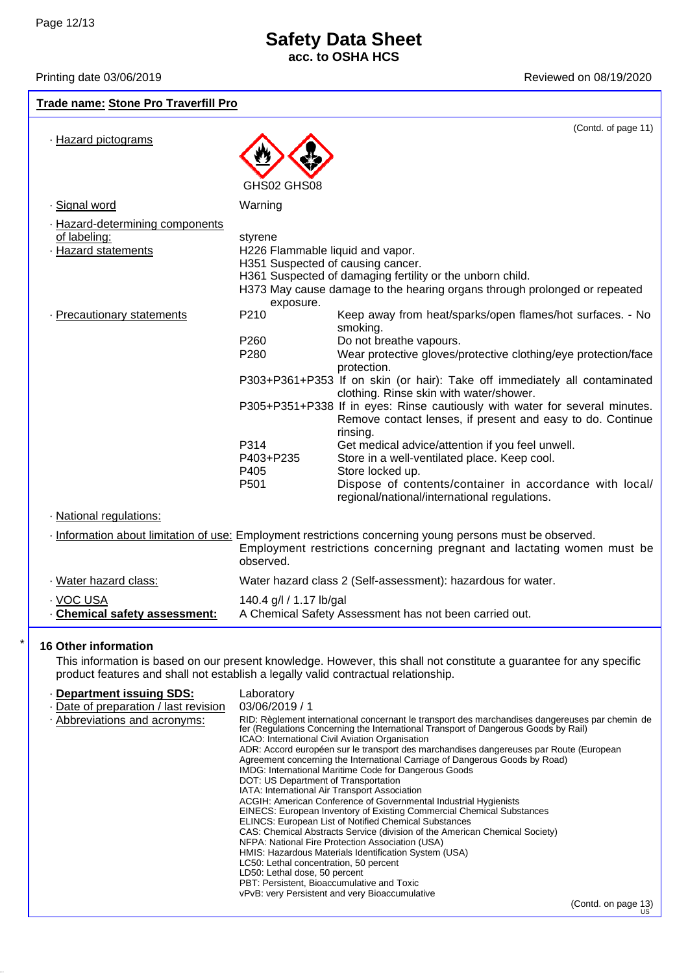# **Safety Data Sheet**

**acc. to OSHA HCS**

Printing date 03/06/2019 **Printing** date 03/06/2019

#### **Trade name: Stone Pro Traverfill Pro**

|               | · Hazard pictograms                                                                               |                                                                                                                                                                                                                                                                                                   | (Contd. of page 11)                                                                                                                                                                                                                                                                                                                                                                                                                                                                                                                                                                                                                                                                                                                                                                                                                                                                 |
|---------------|---------------------------------------------------------------------------------------------------|---------------------------------------------------------------------------------------------------------------------------------------------------------------------------------------------------------------------------------------------------------------------------------------------------|-------------------------------------------------------------------------------------------------------------------------------------------------------------------------------------------------------------------------------------------------------------------------------------------------------------------------------------------------------------------------------------------------------------------------------------------------------------------------------------------------------------------------------------------------------------------------------------------------------------------------------------------------------------------------------------------------------------------------------------------------------------------------------------------------------------------------------------------------------------------------------------|
|               |                                                                                                   |                                                                                                                                                                                                                                                                                                   |                                                                                                                                                                                                                                                                                                                                                                                                                                                                                                                                                                                                                                                                                                                                                                                                                                                                                     |
|               |                                                                                                   | GHS02 GHS08                                                                                                                                                                                                                                                                                       |                                                                                                                                                                                                                                                                                                                                                                                                                                                                                                                                                                                                                                                                                                                                                                                                                                                                                     |
| · Signal word |                                                                                                   | Warning                                                                                                                                                                                                                                                                                           |                                                                                                                                                                                                                                                                                                                                                                                                                                                                                                                                                                                                                                                                                                                                                                                                                                                                                     |
|               | · Hazard-determining components                                                                   |                                                                                                                                                                                                                                                                                                   |                                                                                                                                                                                                                                                                                                                                                                                                                                                                                                                                                                                                                                                                                                                                                                                                                                                                                     |
| of labeling:  | · Hazard statements                                                                               | styrene<br>H226 Flammable liquid and vapor.<br>H351 Suspected of causing cancer.                                                                                                                                                                                                                  | H361 Suspected of damaging fertility or the unborn child.<br>H373 May cause damage to the hearing organs through prolonged or repeated                                                                                                                                                                                                                                                                                                                                                                                                                                                                                                                                                                                                                                                                                                                                              |
|               | · Precautionary statements                                                                        | exposure.<br>P210                                                                                                                                                                                                                                                                                 | Keep away from heat/sparks/open flames/hot surfaces. - No<br>smoking.                                                                                                                                                                                                                                                                                                                                                                                                                                                                                                                                                                                                                                                                                                                                                                                                               |
|               |                                                                                                   | P <sub>260</sub>                                                                                                                                                                                                                                                                                  | Do not breathe vapours.                                                                                                                                                                                                                                                                                                                                                                                                                                                                                                                                                                                                                                                                                                                                                                                                                                                             |
|               |                                                                                                   | P280                                                                                                                                                                                                                                                                                              | Wear protective gloves/protective clothing/eye protection/face<br>protection.                                                                                                                                                                                                                                                                                                                                                                                                                                                                                                                                                                                                                                                                                                                                                                                                       |
|               |                                                                                                   |                                                                                                                                                                                                                                                                                                   | P303+P361+P353 If on skin (or hair): Take off immediately all contaminated<br>clothing. Rinse skin with water/shower.                                                                                                                                                                                                                                                                                                                                                                                                                                                                                                                                                                                                                                                                                                                                                               |
|               |                                                                                                   |                                                                                                                                                                                                                                                                                                   | P305+P351+P338 If in eyes: Rinse cautiously with water for several minutes.<br>Remove contact lenses, if present and easy to do. Continue<br>rinsing.                                                                                                                                                                                                                                                                                                                                                                                                                                                                                                                                                                                                                                                                                                                               |
|               |                                                                                                   | P314                                                                                                                                                                                                                                                                                              | Get medical advice/attention if you feel unwell.                                                                                                                                                                                                                                                                                                                                                                                                                                                                                                                                                                                                                                                                                                                                                                                                                                    |
|               |                                                                                                   | P403+P235<br>P405                                                                                                                                                                                                                                                                                 | Store in a well-ventilated place. Keep cool.<br>Store locked up.                                                                                                                                                                                                                                                                                                                                                                                                                                                                                                                                                                                                                                                                                                                                                                                                                    |
|               |                                                                                                   | P501                                                                                                                                                                                                                                                                                              | Dispose of contents/container in accordance with local/<br>regional/national/international regulations.                                                                                                                                                                                                                                                                                                                                                                                                                                                                                                                                                                                                                                                                                                                                                                             |
|               | · National regulations:                                                                           |                                                                                                                                                                                                                                                                                                   |                                                                                                                                                                                                                                                                                                                                                                                                                                                                                                                                                                                                                                                                                                                                                                                                                                                                                     |
|               |                                                                                                   | observed.                                                                                                                                                                                                                                                                                         | - Information about limitation of use: Employment restrictions concerning young persons must be observed.<br>Employment restrictions concerning pregnant and lactating women must be                                                                                                                                                                                                                                                                                                                                                                                                                                                                                                                                                                                                                                                                                                |
|               | · Water hazard class:                                                                             |                                                                                                                                                                                                                                                                                                   | Water hazard class 2 (Self-assessment): hazardous for water.                                                                                                                                                                                                                                                                                                                                                                                                                                                                                                                                                                                                                                                                                                                                                                                                                        |
| · VOC USA     | . Chemical safety assessment:                                                                     | 140.4 g/l / 1.17 lb/gal                                                                                                                                                                                                                                                                           | A Chemical Safety Assessment has not been carried out.                                                                                                                                                                                                                                                                                                                                                                                                                                                                                                                                                                                                                                                                                                                                                                                                                              |
|               | <b>16 Other information</b>                                                                       |                                                                                                                                                                                                                                                                                                   |                                                                                                                                                                                                                                                                                                                                                                                                                                                                                                                                                                                                                                                                                                                                                                                                                                                                                     |
|               | product features and shall not establish a legally valid contractual relationship.                |                                                                                                                                                                                                                                                                                                   | This information is based on our present knowledge. However, this shall not constitute a guarantee for any specific                                                                                                                                                                                                                                                                                                                                                                                                                                                                                                                                                                                                                                                                                                                                                                 |
|               | Department issuing SDS:<br>· Date of preparation / last revision<br>· Abbreviations and acronyms: | Laboratory<br>03/06/2019 / 1<br>ICAO: International Civil Aviation Organisation<br>DOT: US Department of Transportation<br>IATA: International Air Transport Association<br>LC50: Lethal concentration, 50 percent<br>LD50: Lethal dose, 50 percent<br>PBT: Persistent, Bioaccumulative and Toxic | RID: Règlement international concernant le transport des marchandises dangereuses par chemin de<br>fer (Regulations Concerning the International Transport of Dangerous Goods by Rail)<br>ADR: Accord européen sur le transport des marchandises dangereuses par Route (European<br>Agreement concerning the International Carriage of Dangerous Goods by Road)<br><b>IMDG: International Maritime Code for Dangerous Goods</b><br>ACGIH: American Conference of Governmental Industrial Hygienists<br>EINECS: European Inventory of Existing Commercial Chemical Substances<br>ELINCS: European List of Notified Chemical Substances<br>CAS: Chemical Abstracts Service (division of the American Chemical Society)<br>NFPA: National Fire Protection Association (USA)<br>HMIS: Hazardous Materials Identification System (USA)<br>vPvB: very Persistent and very Bioaccumulative |